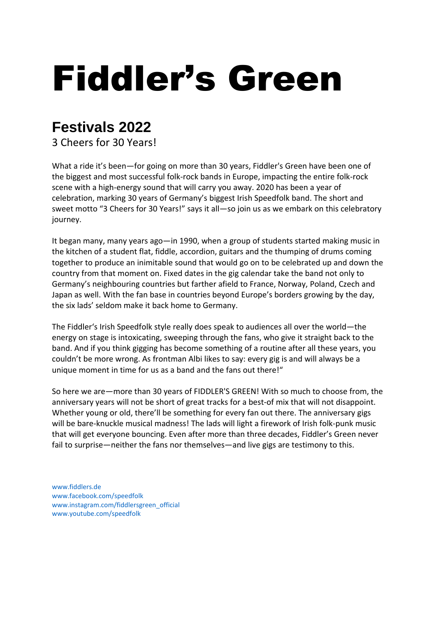## Fiddler's Green

## **Festivals 2022**

3 Cheers for 30 Years!

What a ride it's been—for going on more than 30 years, Fiddler's Green have been one of the biggest and most successful folk-rock bands in Europe, impacting the entire folk-rock scene with a high-energy sound that will carry you away. 2020 has been a year of celebration, marking 30 years of Germany's biggest Irish Speedfolk band. The short and sweet motto "3 Cheers for 30 Years!" says it all—so join us as we embark on this celebratory journey.

It began many, many years ago—in 1990, when a group of students started making music in the kitchen of a student flat, fiddle, accordion, guitars and the thumping of drums coming together to produce an inimitable sound that would go on to be celebrated up and down the country from that moment on. Fixed dates in the gig calendar take the band not only to Germany's neighbouring countries but farther afield to France, Norway, Poland, Czech and Japan as well. With the fan base in countries beyond Europe's borders growing by the day, the six lads' seldom make it back home to Germany.

The Fiddler's Irish Speedfolk style really does speak to audiences all over the world—the energy on stage is intoxicating, sweeping through the fans, who give it straight back to the band. And if you think gigging has become something of a routine after all these years, you couldn't be more wrong. As frontman Albi likes to say: every gig is and will always be a unique moment in time for us as a band and the fans out there!"

So here we are—more than 30 years of FIDDLER'S GREEN! With so much to choose from, the anniversary years will not be short of great tracks for a best-of mix that will not disappoint. Whether young or old, there'll be something for every fan out there. The anniversary gigs will be bare-knuckle musical madness! The lads will light a firework of Irish folk-punk music that will get everyone bouncing. Even after more than three decades, Fiddler's Green never fail to surprise—neither the fans nor themselves—and live gigs are testimony to this.

www.fiddlers.de www.facebook.com/speedfolk www.instagram.com/fiddlersgreen\_official www.youtube.com/speedfolk